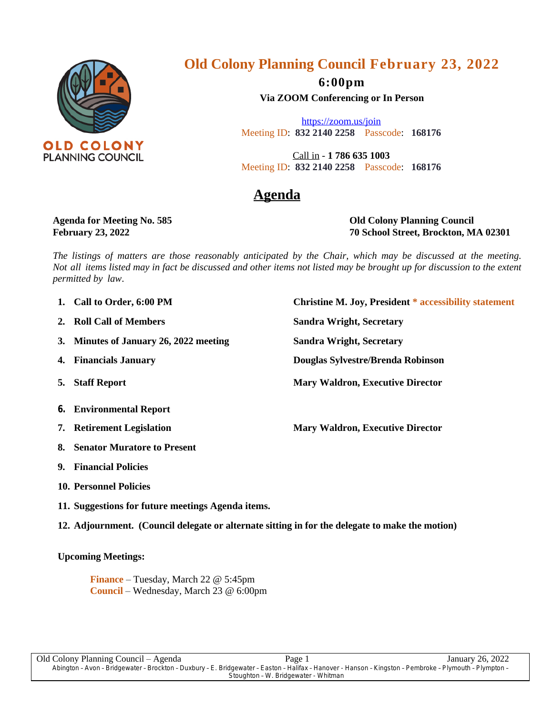

# **Old Colony Planning Council February 23, 2022**

**6:00pm**

**Via ZOOM Conferencing or In Person**

<https://zoom.us/join> Meeting ID: **832 2140 2258** Passcode: **168176**

Call in - **1 786 635 1003** Meeting ID: **832 2140 2258** Passcode: **168176**

## **Agenda**

**Agenda for Meeting No. 585 Old Colony Planning Council February 23, 2022 70 School Street, Brockton, MA 02301**

The listings of matters are those reasonably anticipated by the Chair, which may be discussed at the meeting. Not all items listed may in fact be discussed and other items not listed may be brought up for discussion to the extent *permitted by law*.

- 
- **2. Roll Call of Members Sandra Wright, Secretary**
- **3. Minutes of January 26, 2022 meeting Sandra Wright, Secretary**
- 
- 
- **6. Environmental Report**
- 
- **8. Senator Muratore to Present**
- **9. Financial Policies**
- **10. Personnel Policies**
- **11. Suggestions for future meetings Agenda items.**

**12. Adjournment. (Council delegate or alternate sitting in for the delegate to make the motion)**

### **Upcoming Meetings:**

**Finance** – Tuesday, March 22 @ 5:45pm **Council** – Wednesday, March 23 @ 6:00pm

**1. Call** to Order, 6:00 PM **Christine M. Joy, President \* accessibility statement 4. Financials January Douglas Sylvestre/Brenda Robinson 5. Staff Report Mary Waldron, Executive Director**

**7. Retirement Legislation Mary Waldron, Executive Director**